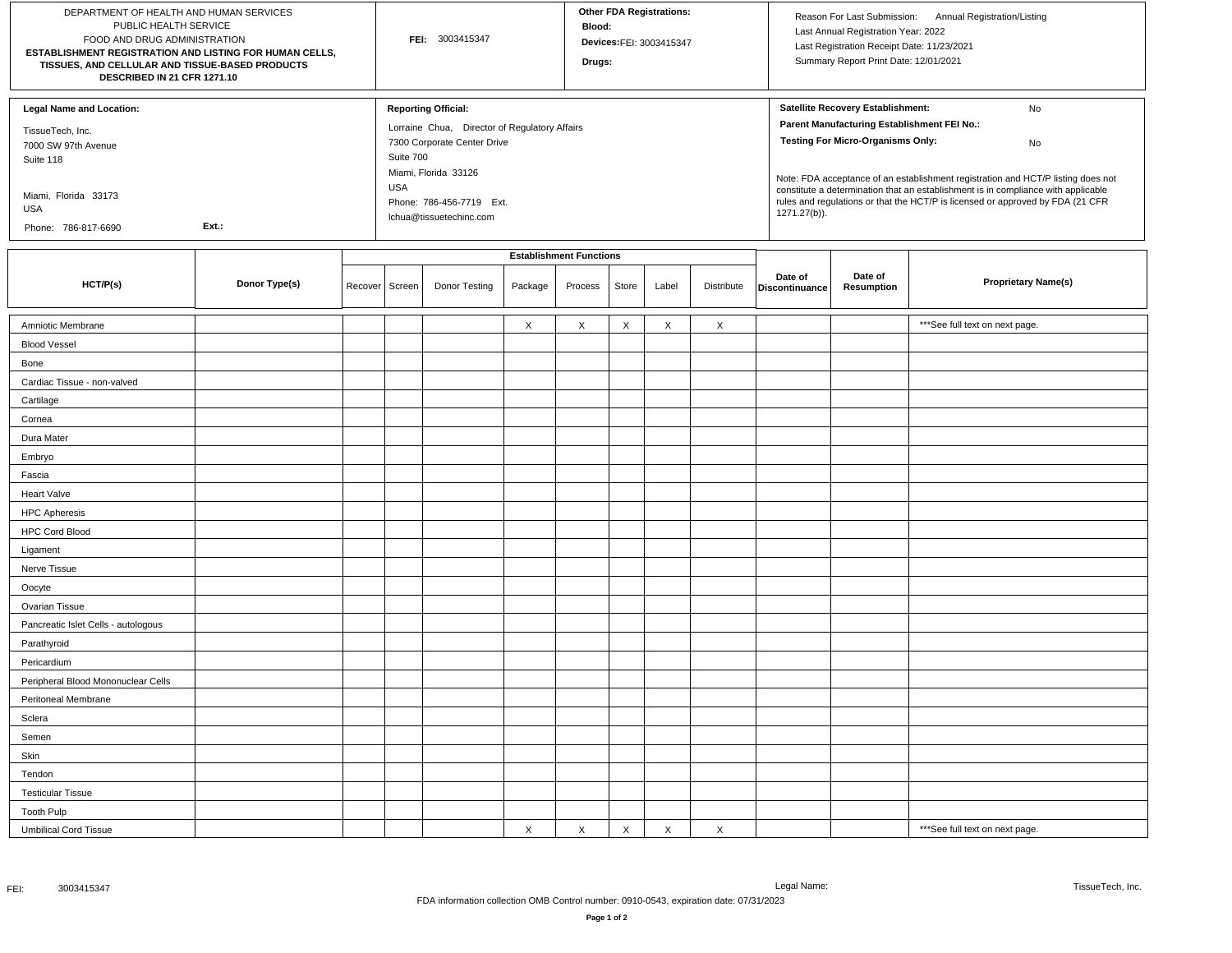| DEPARTMENT OF HEALTH AND HUMAN SERVICES<br>PUBLIC HEALTH SERVICE<br>FOOD AND DRUG ADMINISTRATION<br>ESTABLISHMENT REGISTRATION AND LISTING FOR HUMAN CELLS,<br>TISSUES, AND CELLULAR AND TISSUE-BASED PRODUCTS<br>DESCRIBED IN 21 CFR 1271.10 |               |         |                                | FEI: 3003415347                                                                                                                                                                                                      |             |             |              | Other FDA Registrations:<br>Devices:FEI: 3003415347 |             |                                                                                                                                                                                                                                                                                                                                                                                                                     | Reason For Last Submission: Annual Registration/Listing<br>Last Annual Registration Year: 2022<br>Last Registration Receipt Date: 11/23/2021<br>Summary Report Print Date: 12/01/2021 |                                 |  |
|-----------------------------------------------------------------------------------------------------------------------------------------------------------------------------------------------------------------------------------------------|---------------|---------|--------------------------------|----------------------------------------------------------------------------------------------------------------------------------------------------------------------------------------------------------------------|-------------|-------------|--------------|-----------------------------------------------------|-------------|---------------------------------------------------------------------------------------------------------------------------------------------------------------------------------------------------------------------------------------------------------------------------------------------------------------------------------------------------------------------------------------------------------------------|---------------------------------------------------------------------------------------------------------------------------------------------------------------------------------------|---------------------------------|--|
| <b>Legal Name and Location:</b><br>TissueTech, Inc.<br>7000 SW 97th Avenue<br>Suite 118<br>Miami, Florida 33173<br><b>USA</b><br>Ext.:<br>Phone: 786-817-6690                                                                                 |               |         |                                | <b>Reporting Official:</b><br>Lorraine Chua, Director of Regulatory Affairs<br>7300 Corporate Center Drive<br>Suite 700<br>Miami, Florida 33126<br><b>USA</b><br>Phone: 786-456-7719 Ext.<br>lchua@tissuetechinc.com |             |             |              |                                                     |             | Satellite Recovery Establishment:<br>No<br>Parent Manufacturing Establishment FEI No.:<br><b>Testing For Micro-Organisms Only:</b><br>No<br>Note: FDA acceptance of an establishment registration and HCT/P listing does not<br>constitute a determination that an establishment is in compliance with applicable<br>rules and regulations or that the HCT/P is licensed or approved by FDA (21 CFR<br>1271.27(b)). |                                                                                                                                                                                       |                                 |  |
|                                                                                                                                                                                                                                               |               |         | <b>Establishment Functions</b> |                                                                                                                                                                                                                      |             |             |              |                                                     |             |                                                                                                                                                                                                                                                                                                                                                                                                                     |                                                                                                                                                                                       |                                 |  |
| HCT/P(s)                                                                                                                                                                                                                                      | Donor Type(s) | Recover | Screen                         | Donor Testing                                                                                                                                                                                                        | Package     | Process     | Store        | Label                                               | Distribute  | Date of<br>Discontinuance                                                                                                                                                                                                                                                                                                                                                                                           | Date of<br>Resumption                                                                                                                                                                 | <b>Proprietary Name(s)</b>      |  |
| Amniotic Membrane                                                                                                                                                                                                                             |               |         |                                |                                                                                                                                                                                                                      | X           | X           | X            | X                                                   | $\times$    |                                                                                                                                                                                                                                                                                                                                                                                                                     |                                                                                                                                                                                       | *** See full text on next page. |  |
| <b>Blood Vessel</b>                                                                                                                                                                                                                           |               |         |                                |                                                                                                                                                                                                                      |             |             |              |                                                     |             |                                                                                                                                                                                                                                                                                                                                                                                                                     |                                                                                                                                                                                       |                                 |  |
| Bone                                                                                                                                                                                                                                          |               |         |                                |                                                                                                                                                                                                                      |             |             |              |                                                     |             |                                                                                                                                                                                                                                                                                                                                                                                                                     |                                                                                                                                                                                       |                                 |  |
| Cardiac Tissue - non-valved                                                                                                                                                                                                                   |               |         |                                |                                                                                                                                                                                                                      |             |             |              |                                                     |             |                                                                                                                                                                                                                                                                                                                                                                                                                     |                                                                                                                                                                                       |                                 |  |
| Cartilage                                                                                                                                                                                                                                     |               |         |                                |                                                                                                                                                                                                                      |             |             |              |                                                     |             |                                                                                                                                                                                                                                                                                                                                                                                                                     |                                                                                                                                                                                       |                                 |  |
| Cornea                                                                                                                                                                                                                                        |               |         |                                |                                                                                                                                                                                                                      |             |             |              |                                                     |             |                                                                                                                                                                                                                                                                                                                                                                                                                     |                                                                                                                                                                                       |                                 |  |
| Dura Mater                                                                                                                                                                                                                                    |               |         |                                |                                                                                                                                                                                                                      |             |             |              |                                                     |             |                                                                                                                                                                                                                                                                                                                                                                                                                     |                                                                                                                                                                                       |                                 |  |
| Embryo                                                                                                                                                                                                                                        |               |         |                                |                                                                                                                                                                                                                      |             |             |              |                                                     |             |                                                                                                                                                                                                                                                                                                                                                                                                                     |                                                                                                                                                                                       |                                 |  |
| Fascia                                                                                                                                                                                                                                        |               |         |                                |                                                                                                                                                                                                                      |             |             |              |                                                     |             |                                                                                                                                                                                                                                                                                                                                                                                                                     |                                                                                                                                                                                       |                                 |  |
| <b>Heart Valve</b>                                                                                                                                                                                                                            |               |         |                                |                                                                                                                                                                                                                      |             |             |              |                                                     |             |                                                                                                                                                                                                                                                                                                                                                                                                                     |                                                                                                                                                                                       |                                 |  |
| <b>HPC Apheresis</b>                                                                                                                                                                                                                          |               |         |                                |                                                                                                                                                                                                                      |             |             |              |                                                     |             |                                                                                                                                                                                                                                                                                                                                                                                                                     |                                                                                                                                                                                       |                                 |  |
| <b>HPC Cord Blood</b>                                                                                                                                                                                                                         |               |         |                                |                                                                                                                                                                                                                      |             |             |              |                                                     |             |                                                                                                                                                                                                                                                                                                                                                                                                                     |                                                                                                                                                                                       |                                 |  |
| Ligament                                                                                                                                                                                                                                      |               |         |                                |                                                                                                                                                                                                                      |             |             |              |                                                     |             |                                                                                                                                                                                                                                                                                                                                                                                                                     |                                                                                                                                                                                       |                                 |  |
| Nerve Tissue                                                                                                                                                                                                                                  |               |         |                                |                                                                                                                                                                                                                      |             |             |              |                                                     |             |                                                                                                                                                                                                                                                                                                                                                                                                                     |                                                                                                                                                                                       |                                 |  |
| Oocyte                                                                                                                                                                                                                                        |               |         |                                |                                                                                                                                                                                                                      |             |             |              |                                                     |             |                                                                                                                                                                                                                                                                                                                                                                                                                     |                                                                                                                                                                                       |                                 |  |
| Ovarian Tissue                                                                                                                                                                                                                                |               |         |                                |                                                                                                                                                                                                                      |             |             |              |                                                     |             |                                                                                                                                                                                                                                                                                                                                                                                                                     |                                                                                                                                                                                       |                                 |  |
| Pancreatic Islet Cells - autologous                                                                                                                                                                                                           |               |         |                                |                                                                                                                                                                                                                      |             |             |              |                                                     |             |                                                                                                                                                                                                                                                                                                                                                                                                                     |                                                                                                                                                                                       |                                 |  |
| Parathyroid                                                                                                                                                                                                                                   |               |         |                                |                                                                                                                                                                                                                      |             |             |              |                                                     |             |                                                                                                                                                                                                                                                                                                                                                                                                                     |                                                                                                                                                                                       |                                 |  |
| Pericardium                                                                                                                                                                                                                                   |               |         |                                |                                                                                                                                                                                                                      |             |             |              |                                                     |             |                                                                                                                                                                                                                                                                                                                                                                                                                     |                                                                                                                                                                                       |                                 |  |
| Peripheral Blood Mononuclear Cells                                                                                                                                                                                                            |               |         |                                |                                                                                                                                                                                                                      |             |             |              |                                                     |             |                                                                                                                                                                                                                                                                                                                                                                                                                     |                                                                                                                                                                                       |                                 |  |
| Peritoneal Membrane                                                                                                                                                                                                                           |               |         |                                |                                                                                                                                                                                                                      |             |             |              |                                                     |             |                                                                                                                                                                                                                                                                                                                                                                                                                     |                                                                                                                                                                                       |                                 |  |
| Sclera                                                                                                                                                                                                                                        |               |         |                                |                                                                                                                                                                                                                      |             |             |              |                                                     |             |                                                                                                                                                                                                                                                                                                                                                                                                                     |                                                                                                                                                                                       |                                 |  |
| Semen                                                                                                                                                                                                                                         |               |         |                                |                                                                                                                                                                                                                      |             |             |              |                                                     |             |                                                                                                                                                                                                                                                                                                                                                                                                                     |                                                                                                                                                                                       |                                 |  |
| Skin                                                                                                                                                                                                                                          |               |         |                                |                                                                                                                                                                                                                      |             |             |              |                                                     |             |                                                                                                                                                                                                                                                                                                                                                                                                                     |                                                                                                                                                                                       |                                 |  |
| Tendon                                                                                                                                                                                                                                        |               |         |                                |                                                                                                                                                                                                                      |             |             |              |                                                     |             |                                                                                                                                                                                                                                                                                                                                                                                                                     |                                                                                                                                                                                       |                                 |  |
| <b>Testicular Tissue</b>                                                                                                                                                                                                                      |               |         |                                |                                                                                                                                                                                                                      |             |             |              |                                                     |             |                                                                                                                                                                                                                                                                                                                                                                                                                     |                                                                                                                                                                                       |                                 |  |
| <b>Tooth Pulp</b>                                                                                                                                                                                                                             |               |         |                                |                                                                                                                                                                                                                      |             |             |              |                                                     |             |                                                                                                                                                                                                                                                                                                                                                                                                                     |                                                                                                                                                                                       |                                 |  |
| <b>Umbilical Cord Tissue</b>                                                                                                                                                                                                                  |               |         |                                |                                                                                                                                                                                                                      | $\mathsf X$ | $\mathsf X$ | $\mathsf{X}$ | $\mathsf X$                                         | $\mathsf X$ |                                                                                                                                                                                                                                                                                                                                                                                                                     |                                                                                                                                                                                       | *** See full text on next page. |  |